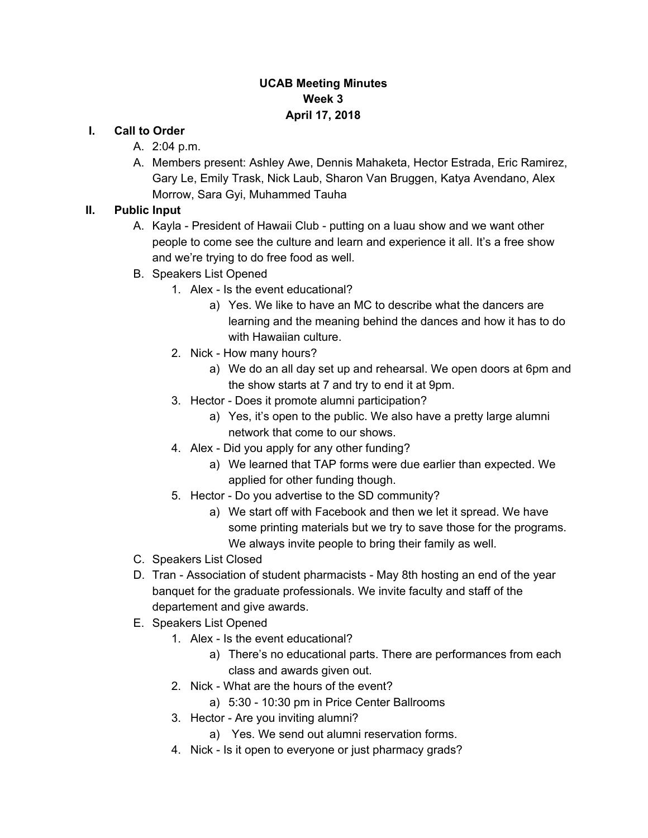## **UCAB Meeting Minutes Week 3 April 17, 2018**

#### **I. Call to Order**

- A. 2:04 p.m.
- A. Members present: Ashley Awe, Dennis Mahaketa, Hector Estrada, Eric Ramirez, Gary Le, Emily Trask, Nick Laub, Sharon Van Bruggen, Katya Avendano, Alex Morrow, Sara Gyi, Muhammed Tauha

## **II. Public Input**

- A. Kayla President of Hawaii Club putting on a luau show and we want other people to come see the culture and learn and experience it all. It's a free show and we're trying to do free food as well.
- B. Speakers List Opened
	- 1. Alex Is the event educational?
		- a) Yes. We like to have an MC to describe what the dancers are learning and the meaning behind the dances and how it has to do with Hawaiian culture.
	- 2. Nick How many hours?
		- a) We do an all day set up and rehearsal. We open doors at 6pm and the show starts at 7 and try to end it at 9pm.
	- 3. Hector Does it promote alumni participation?
		- a) Yes, it's open to the public. We also have a pretty large alumni network that come to our shows.
	- 4. Alex Did you apply for any other funding?
		- a) We learned that TAP forms were due earlier than expected. We applied for other funding though.
	- 5. Hector Do you advertise to the SD community?
		- a) We start off with Facebook and then we let it spread. We have some printing materials but we try to save those for the programs. We always invite people to bring their family as well.
- C. Speakers List Closed
- D. Tran Association of student pharmacists May 8th hosting an end of the year banquet for the graduate professionals. We invite faculty and staff of the departement and give awards.
- E. Speakers List Opened
	- 1. Alex Is the event educational?
		- a) There's no educational parts. There are performances from each class and awards given out.
	- 2. Nick What are the hours of the event?
		- a) 5:30 10:30 pm in Price Center Ballrooms
	- 3. Hector Are you inviting alumni?
		- a) Yes. We send out alumni reservation forms.
	- 4. Nick Is it open to everyone or just pharmacy grads?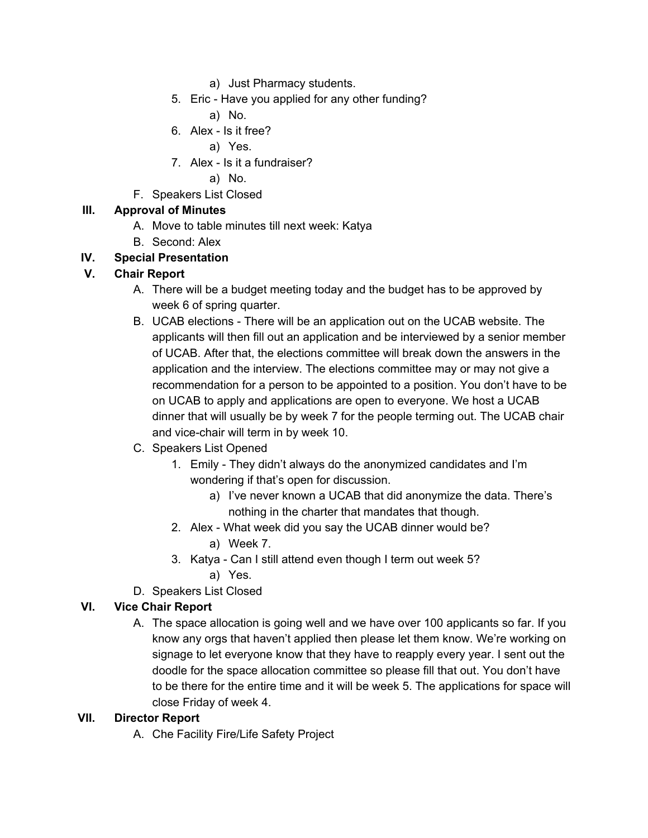- a) Just Pharmacy students.
- 5. Eric Have you applied for any other funding?
	- a) No.
- 6. Alex Is it free?
	- a) Yes.
- 7. Alex Is it a fundraiser?
	- a) No.
- F. Speakers List Closed

## **III. Approval of Minutes**

- A. Move to table minutes till next week: Katya
- B. Second: Alex

## **IV. Special Presentation**

## **V. Chair Report**

- A. There will be a budget meeting today and the budget has to be approved by week 6 of spring quarter.
- B. UCAB elections There will be an application out on the UCAB website. The applicants will then fill out an application and be interviewed by a senior member of UCAB. After that, the elections committee will break down the answers in the application and the interview. The elections committee may or may not give a recommendation for a person to be appointed to a position. You don't have to be on UCAB to apply and applications are open to everyone. We host a UCAB dinner that will usually be by week 7 for the people terming out. The UCAB chair and vice-chair will term in by week 10.
- C. Speakers List Opened
	- 1. Emily They didn't always do the anonymized candidates and I'm wondering if that's open for discussion.
		- a) I've never known a UCAB that did anonymize the data. There's nothing in the charter that mandates that though.
	- 2. Alex What week did you say the UCAB dinner would be?
		- a) Week 7.
	- 3. Katya Can I still attend even though I term out week 5?
		- a) Yes.
- D. Speakers List Closed

## **VI. Vice Chair Report**

A. The space allocation is going well and we have over 100 applicants so far. If you know any orgs that haven't applied then please let them know. We're working on signage to let everyone know that they have to reapply every year. I sent out the doodle for the space allocation committee so please fill that out. You don't have to be there for the entire time and it will be week 5. The applications for space will close Friday of week 4.

#### **VII. Director Report**

A. Che Facility Fire/Life Safety Project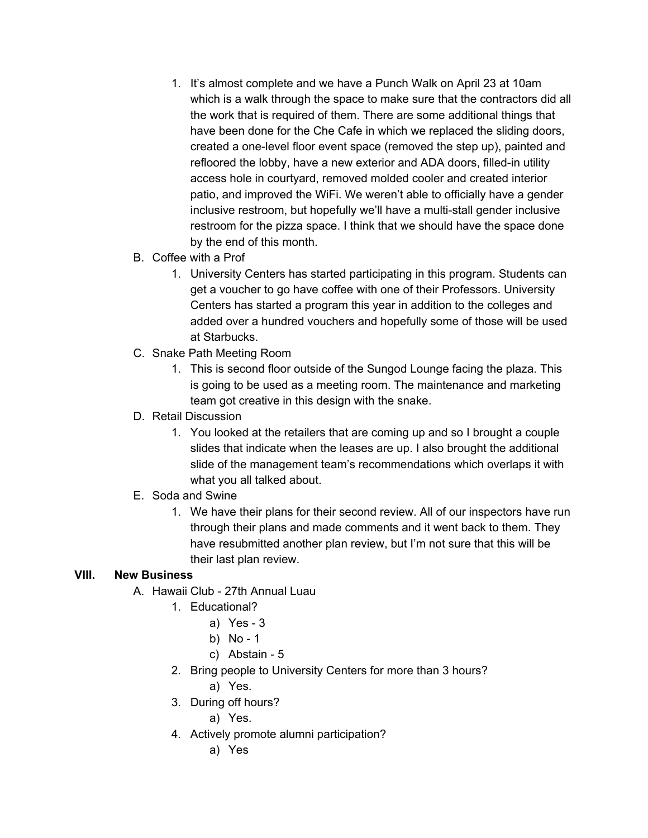- 1. It's almost complete and we have a Punch Walk on April 23 at 10am which is a walk through the space to make sure that the contractors did all the work that is required of them. There are some additional things that have been done for the Che Cafe in which we replaced the sliding doors, created a one-level floor event space (removed the step up), painted and refloored the lobby, have a new exterior and ADA doors, filled-in utility access hole in courtyard, removed molded cooler and created interior patio, and improved the WiFi. We weren't able to officially have a gender inclusive restroom, but hopefully we'll have a multi-stall gender inclusive restroom for the pizza space. I think that we should have the space done by the end of this month.
- B. Coffee with a Prof
	- 1. University Centers has started participating in this program. Students can get a voucher to go have coffee with one of their Professors. University Centers has started a program this year in addition to the colleges and added over a hundred vouchers and hopefully some of those will be used at Starbucks.
- C. Snake Path Meeting Room
	- 1. This is second floor outside of the Sungod Lounge facing the plaza. This is going to be used as a meeting room. The maintenance and marketing team got creative in this design with the snake.
- D. Retail Discussion
	- 1. You looked at the retailers that are coming up and so I brought a couple slides that indicate when the leases are up. I also brought the additional slide of the management team's recommendations which overlaps it with what you all talked about.
- E. Soda and Swine
	- 1. We have their plans for their second review. All of our inspectors have run through their plans and made comments and it went back to them. They have resubmitted another plan review, but I'm not sure that this will be their last plan review.

#### **VIII. New Business**

- A. Hawaii Club 27th Annual Luau
	- 1. Educational?
		- a) Yes 3
		- b) No 1
		- c) Abstain 5
	- 2. Bring people to University Centers for more than 3 hours?
		- a) Yes.
	- 3. During off hours?
		- a) Yes.
	- 4. Actively promote alumni participation?
		- a) Yes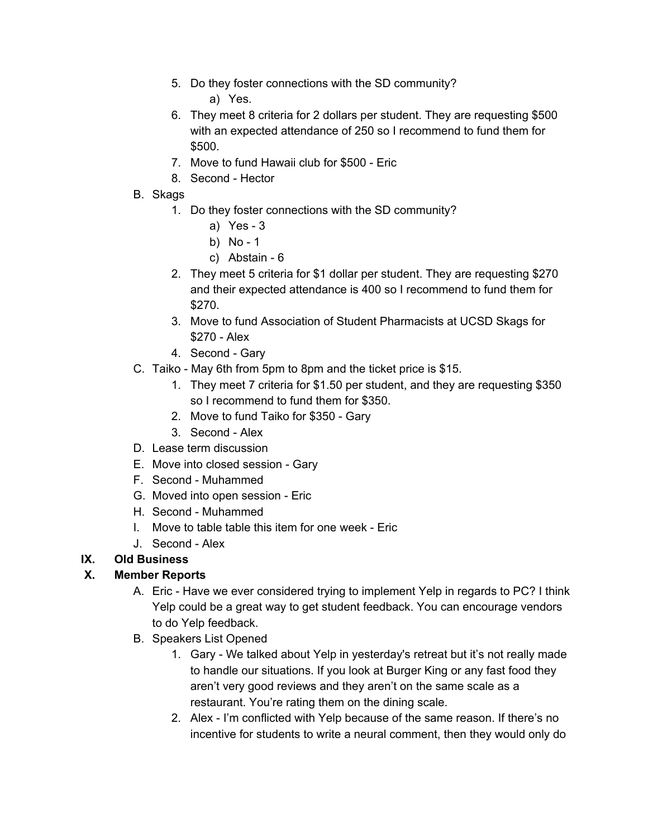- 5. Do they foster connections with the SD community? a) Yes.
- 6. They meet 8 criteria for 2 dollars per student. They are requesting \$500 with an expected attendance of 250 so I recommend to fund them for \$500.
- 7. Move to fund Hawaii club for \$500 Eric
- 8. Second Hector
- B. Skags
	- 1. Do they foster connections with the SD community?
		- a) Yes 3
		- b) No 1
		- c) Abstain 6
	- 2. They meet 5 criteria for \$1 dollar per student. They are requesting \$270 and their expected attendance is 400 so I recommend to fund them for \$270.
	- 3. Move to fund Association of Student Pharmacists at UCSD Skags for \$270 - Alex
	- 4. Second Gary
- C. Taiko May 6th from 5pm to 8pm and the ticket price is \$15.
	- 1. They meet 7 criteria for \$1.50 per student, and they are requesting \$350 so I recommend to fund them for \$350.
	- 2. Move to fund Taiko for \$350 Gary
	- 3. Second Alex
- D. Lease term discussion
- E. Move into closed session Gary
- F. Second Muhammed
- G. Moved into open session Eric
- H. Second Muhammed
- I. Move to table table this item for one week Eric
- J. Second Alex

# **IX. Old Business**

# **X. Member Reports**

- A. Eric Have we ever considered trying to implement Yelp in regards to PC? I think Yelp could be a great way to get student feedback. You can encourage vendors to do Yelp feedback.
- B. Speakers List Opened
	- 1. Gary We talked about Yelp in yesterday's retreat but it's not really made to handle our situations. If you look at Burger King or any fast food they aren't very good reviews and they aren't on the same scale as a restaurant. You're rating them on the dining scale.
	- 2. Alex I'm conflicted with Yelp because of the same reason. If there's no incentive for students to write a neural comment, then they would only do